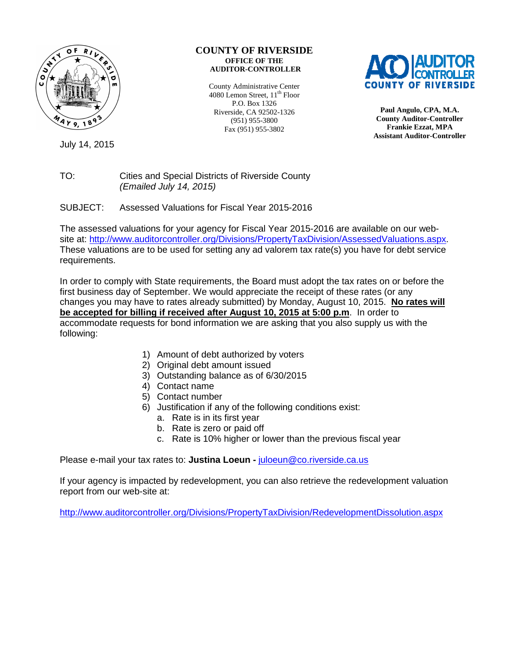

## **COUNTY OF RIVERSIDE OFFICE OF THE AUDITOR-CONTROLLER**

County Administrative Center 4080 Lemon Street, 11<sup>th</sup> Floor P.O. Box 1326 Riverside, CA 92502-1326 (951) 955-3800 Fax (951) 955-3802



**Paul Angulo, CPA, M.A. County Auditor-Controller Frankie Ezzat, MPA Assistant Auditor-Controller** 

July 14, 2015

## TO: Cities and Special Districts of Riverside County (Emailed July 14, 2015)

SUBJECT: Assessed Valuations for Fiscal Year 2015-2016

The assessed valuations for your agency for Fiscal Year 2015-2016 are available on our website at: http://www.auditorcontroller.org/Divisions/PropertyTaxDivision/AssessedValuations.aspx. These valuations are to be used for setting any ad valorem tax rate(s) you have for debt service requirements.

In order to comply with State requirements, the Board must adopt the tax rates on or before the first business day of September. We would appreciate the receipt of these rates (or any changes you may have to rates already submitted) by Monday, August 10, 2015. **No rates will be accepted for billing if received after August 10, 2015 at 5:00 p.m**. In order to accommodate requests for bond information we are asking that you also supply us with the following:

- 1) Amount of debt authorized by voters
- 2) Original debt amount issued
- 3) Outstanding balance as of 6/30/2015
- 4) Contact name
- 5) Contact number
- 6) Justification if any of the following conditions exist:
	- a. Rate is in its first year
	- b. Rate is zero or paid off
	- c. Rate is 10% higher or lower than the previous fiscal year

Please e-mail your tax rates to: **Justina Loeun -** juloeun@co.riverside.ca.us

If your agency is impacted by redevelopment, you can also retrieve the redevelopment valuation report from our web-site at:

http://www.auditorcontroller.org/Divisions/PropertyTaxDivision/RedevelopmentDissolution.aspx